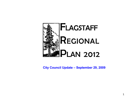

#### **City Council Update – September 29, 2009**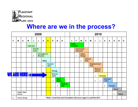

 $\overline{\mathbf{r}}$ 

# **Where are we in the process?**

| 2009 |                                                                                        |                                    |                 |                             |            |           |                         |                                  |                                    |   |  |               | 2010                                  |   |   |                |                          |              |                   |                |                 |               |   |
|------|----------------------------------------------------------------------------------------|------------------------------------|-----------------|-----------------------------|------------|-----------|-------------------------|----------------------------------|------------------------------------|---|--|---------------|---------------------------------------|---|---|----------------|--------------------------|--------------|-------------------|----------------|-----------------|---------------|---|
| F    | M                                                                                      | A                                  | M               | J                           | J          | A         | $\mathbf{s}$            | $\mathbf{o}$                     | N                                  | D |  | J             | F                                     | M | A | M              | J                        | J            | $\boldsymbol{A}$  | $\mathbf{s}$   | $\mathbf{o}$    | $\mathbf N$   | D |
|      |                                                                                        |                                    | <b>Land Use</b> |                             |            |           |                         |                                  |                                    |   |  | <b>Public</b> | <b>Facilities</b>                     |   |   |                |                          |              |                   |                |                 |               |   |
|      |                                                                                        | <b>Growth</b><br>☆<br><b>Areas</b> |                 |                             |            |           |                         |                                  |                                    |   |  |               | <b>Community</b><br><b>Character</b>  |   |   |                |                          |              |                   |                |                 |               |   |
|      | <b>Bicycles</b><br>$\bullet$                                                           |                                    |                 | <b>Circulation &amp;</b>    |            |           |                         |                                  | <b>Urban</b><br>☆<br><b>Design</b> |   |  |               |                                       |   |   |                |                          |              |                   |                |                 |               |   |
|      |                                                                                        |                                    |                 |                             | ☆<br>Water |           |                         |                                  |                                    |   |  |               | <b>Historic</b><br>Pres.<br>$\bullet$ |   |   |                |                          |              |                   |                |                 |               |   |
|      |                                                                                        |                                    |                 |                             |            | $\bullet$ | <b>Conserv</b><br>ation |                                  |                                    |   |  |               |                                       |   |   |                | Pres.                    | Neighborhood |                   |                |                 |               |   |
|      |                                                                                        |                                    |                 |                             |            |           |                         | <b>Energy</b>                    |                                    |   |  |               |                                       |   |   |                | <b>Redevel</b><br>opment |              |                   |                |                 |               |   |
|      |                                                                                        |                                    | VE ARE HERE TH  | <b>Environ</b><br>ment<br>T |            |           |                         |                                  |                                    |   |  |               |                                       |   | ☆ | <b>Housing</b> |                          |              |                   |                |                 |               |   |
|      |                                                                                        |                                    |                 |                             |            |           |                         | <b>Open</b><br>☆<br><b>Space</b> |                                    |   |  |               |                                       |   |   |                | $\blacklozenge$          | ☆            | Economi<br>c Dev. |                |                 |               |   |
|      |                                                                                        |                                    |                 |                             |            |           |                         |                                  | Parks &<br><b>Rec</b><br>$\bullet$ |   |  |               |                                       |   |   |                |                          |              | $\bullet$         | <b>Tourism</b> |                 |               |   |
|      |                                                                                        |                                    |                 |                             |            |           |                         |                                  |                                    |   |  |               |                                       |   |   |                |                          |              |                   | ☆              | <b>Social</b>   |               |   |
| ☆    | <b>Public Open</b><br>House                                                            |                                    |                 |                             |            |           |                         |                                  |                                    |   |  |               |                                       |   |   |                |                          |              |                   |                | $\blacklozenge$ | <b>Safety</b> |   |
| ٠    | **Note-Land Use and Circulation will occur again in Jan/Feb 2011<br><b>Focus Group</b> |                                    |                 |                             |            |           |                         |                                  |                                    |   |  |               |                                       |   |   |                |                          |              |                   |                |                 |               |   |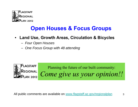

## **Open Houses & Focus Groups**

- **Land Use, Growth Areas, Circulation & Bicycles**
	- *Four Open Houses*
	- *One Focus Group with 48 attending*



All public comments are available on [www.flagstaff.az.gov/regionalplan](http://www.flagstaff.az.gov/regionalplan)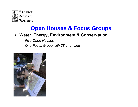

### **Open Houses & Focus Groups**

#### • **Water, Energy, Environment & Conservation**

- *Five Open Houses*
- *One Focus Group with 28 attending*

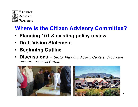

# **Where is the Citizen Advisory Committee?**

- **Planning 101 & existing policy review**
- **Draft Vision Statement**
- **Beginning Outline**
- **Discussions –** *Sector Planning, Activity Centers, Circulation Patterns, Potential Growth*

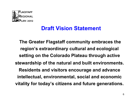

### **Draft Vision Statement**

**The Greater Flagstaff community embraces the region's extraordinary cultural and ecological setting on the Colorado Plateau through active stewardship of the natural and built environments. Residents and visitors encourage and advance intellectual, environmental, social and economic vitality for today's citizens and future generations.**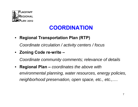

# **COORDINATION**

• **Regional Transportation Plan (RTP)** 

*Coordinate circulation / activity centers / focus*

• **Zoning Code re-write –**

*Coordinate community comments; relevance of details*

• **Regional Plan –** *coordinates the above with environmental planning, water resources, energy policies, neighborhood preservation, open space, etc., etc.,….*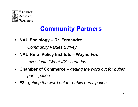

# **Community Partners**

• **NAU Sociology – Dr. Fernandez** 

*Community Values Survey*

• **NAU Rural Policy Institute – Wayne Fox**

*Investigate "What If?" scenarios….*

- **Chamber of Commerce –** *getting the word out for public participation*
- **F3 -** *getting the word out for public participation*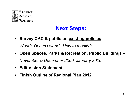

# **Next Steps:**

• **Survey CAC & public on existing policies –**

*Work? Doesn't work? How to modify?*

- **Open Spaces, Parks & Recreation, Public Buildings –** *November & December 2009; January 2010*
- **Edit Vision Statement**
- **Finish Outline of Regional Plan 2012**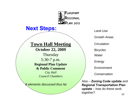

#### **Next Steps:**

#### **Town Hall Meeting**

**October 22, 2009**

**Thursday** 5:30-7 p.m. **Regional Plan Update & Public Comment**

> *City Hall Council Chambers*

*8 elements discussed thus far*

Land UseGrowth Areas**Circulation Bicycles Water** Energy **Environment Conservation** 

Also – **Zoning Code update** and **Regional Transportation Plan update** – how do these work together?